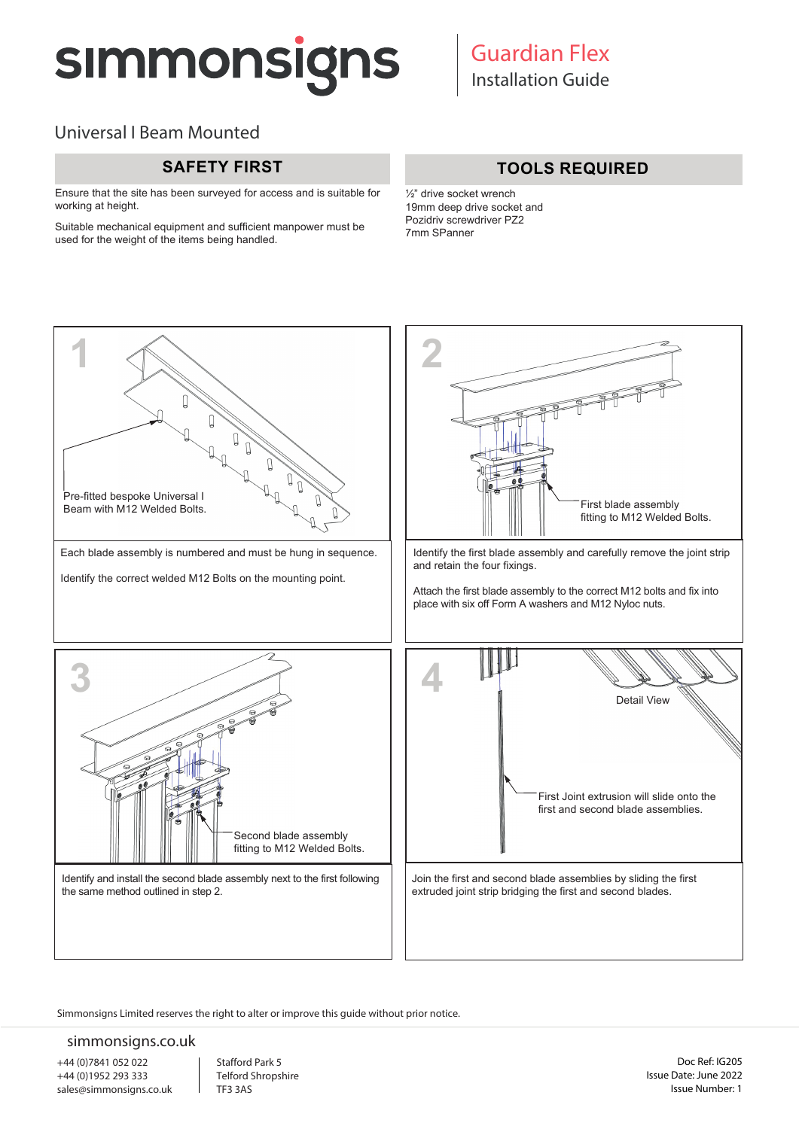# **SIMMONSIGNS**

# Universal I Beam Mounted

Ensure that the site has been surveyed for access and is suitable for working at height.

Suitable mechanical equipment and sufficient manpower must be used for the weight of the items being handled.

### **SAFETY FIRST TOOLS REQUIRED**

½" drive socket wrench 19mm deep drive socket and Pozidriv screwdriver PZ2 7mm SPanner



Simmonsigns Limited reserves the right to alter or improve this guide without prior notice.

### simmonsigns.co.uk

+44 (0)7841 052 022 +44 (0)1952 293 333 sales@simmonsigns.co.uk Stafford Park 5 Telford Shropshire TF3 3AS

Doc Ref: IG205 Issue Date: June 2022 Issue Number: 1